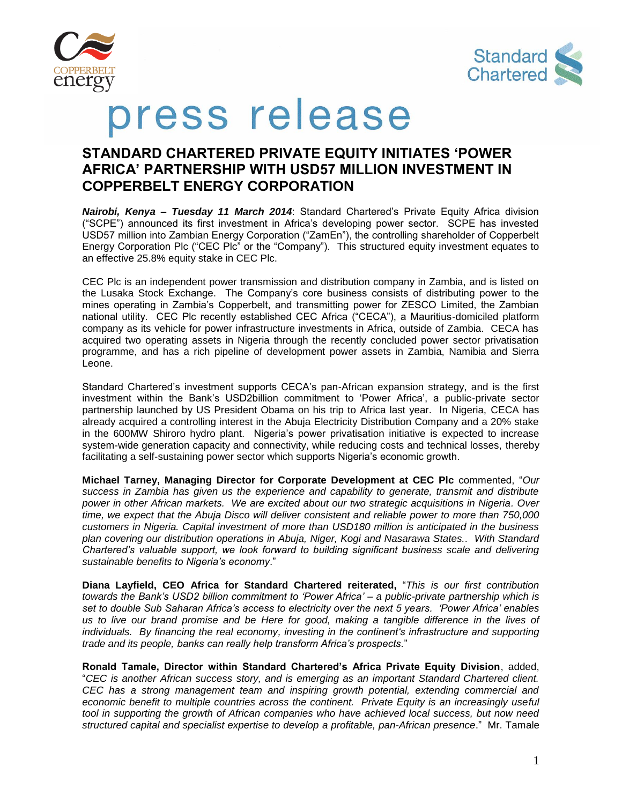



# press release

# **STANDARD CHARTERED PRIVATE EQUITY INITIATES 'POWER AFRICA' PARTNERSHIP WITH USD57 MILLION INVESTMENT IN COPPERBELT ENERGY CORPORATION**

*Nairobi, Kenya – Tuesday 11 March 2014*: Standard Chartered's Private Equity Africa division ("SCPE") announced its first investment in Africa's developing power sector. SCPE has invested USD57 million into Zambian Energy Corporation ("ZamEn"), the controlling shareholder of Copperbelt Energy Corporation Plc ("CEC Plc" or the "Company"). This structured equity investment equates to an effective 25.8% equity stake in CEC Plc.

CEC Plc is an independent power transmission and distribution company in Zambia, and is listed on the Lusaka Stock Exchange. The Company's core business consists of distributing power to the mines operating in Zambia's Copperbelt, and transmitting power for ZESCO Limited, the Zambian national utility. CEC Plc recently established CEC Africa ("CECA"), a Mauritius-domiciled platform company as its vehicle for power infrastructure investments in Africa, outside of Zambia. CECA has acquired two operating assets in Nigeria through the recently concluded power sector privatisation programme, and has a rich pipeline of development power assets in Zambia, Namibia and Sierra Leone.

Standard Chartered's investment supports CECA's pan-African expansion strategy, and is the first investment within the Bank's USD2billion commitment to 'Power Africa', a public-private sector partnership launched by US President Obama on his trip to Africa last year. In Nigeria, CECA has already acquired a controlling interest in the Abuja Electricity Distribution Company and a 20% stake in the 600MW Shiroro hydro plant. Nigeria's power privatisation initiative is expected to increase system-wide generation capacity and connectivity, while reducing costs and technical losses, thereby facilitating a self-sustaining power sector which supports Nigeria's economic growth.

**Michael Tarney, Managing Director for Corporate Development at CEC Plc** commented, "*Our success in Zambia has given us the experience and capability to generate, transmit and distribute power in other African markets. We are excited about our two strategic acquisitions in Nigeria. Over time, we expect that the Abuja Disco will deliver consistent and reliable power to more than 750,000 customers in Nigeria. Capital investment of more than USD180 million is anticipated in the business plan covering our distribution operations in Abuja, Niger, Kogi and Nasarawa States.. With Standard Chartered's valuable support, we look forward to building significant business scale and delivering sustainable benefits to Nigeria's economy*."

**Diana Layfield, CEO Africa for Standard Chartered reiterated,** "*This is our first contribution towards the Bank's USD2 billion commitment to 'Power Africa' – a public-private partnership which is set to double Sub Saharan Africa's access to electricity over the next 5 years. 'Power Africa' enables us to live our brand promise and be Here for good, making a tangible difference in the lives of individuals. By financing the real economy, investing in the continent's infrastructure and supporting trade and its people, banks can really help transform Africa's prospects.*"

**Ronald Tamale, Director within Standard Chartered's Africa Private Equity Division**, added, "*CEC is another African success story, and is emerging as an important Standard Chartered client. CEC has a strong management team and inspiring growth potential, extending commercial and*  economic benefit to multiple countries across the continent. Private Equity is an increasingly useful *tool in supporting the growth of African companies who have achieved local success, but now need structured capital and specialist expertise to develop a profitable, pan-African presence*." Mr. Tamale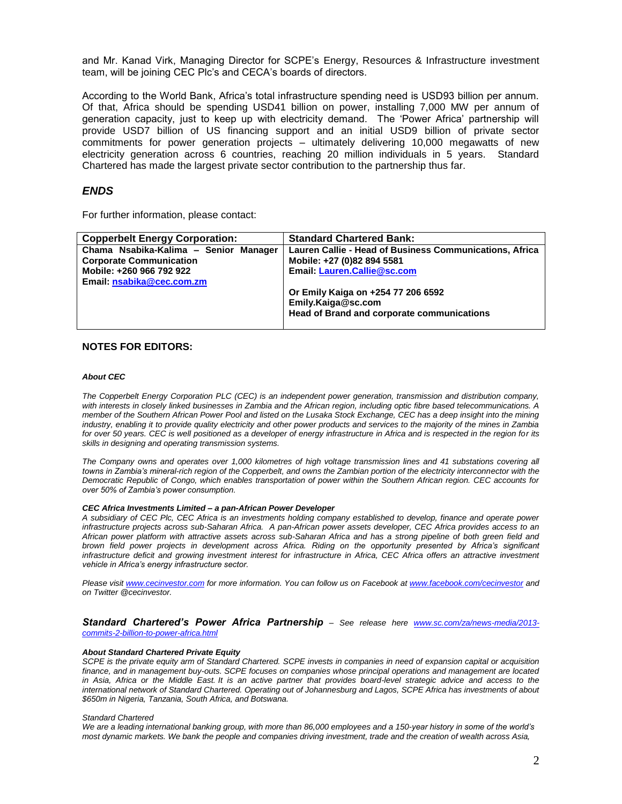and Mr. Kanad Virk, Managing Director for SCPE's Energy, Resources & Infrastructure investment team, will be joining CEC Plc's and CECA's boards of directors.

According to the World Bank, Africa's total infrastructure spending need is USD93 billion per annum. Of that, Africa should be spending USD41 billion on power, installing 7,000 MW per annum of generation capacity, just to keep up with electricity demand. The 'Power Africa' partnership will provide USD7 billion of US financing support and an initial USD9 billion of private sector commitments for power generation projects – ultimately delivering 10,000 megawatts of new electricity generation across 6 countries, reaching 20 million individuals in 5 years. Standard Chartered has made the largest private sector contribution to the partnership thus far.

## *ENDS*

For further information, please contact:

| <b>Copperbelt Energy Corporation:</b> | <b>Standard Chartered Bank:</b>                         |
|---------------------------------------|---------------------------------------------------------|
| Chama Nsabika-Kalima - Senior Manager | Lauren Callie - Head of Business Communications, Africa |
| <b>Corporate Communication</b>        | Mobile: +27 (0)82 894 5581                              |
| Mobile: +260 966 792 922              | Email: Lauren.Callie@sc.com                             |
| Email: nsabika@cec.com.zm             |                                                         |
|                                       | Or Emily Kaiga on +254 77 206 6592                      |
|                                       | Emily.Kaiga@sc.com                                      |
|                                       | <b>Head of Brand and corporate communications</b>       |
|                                       |                                                         |

### **NOTES FOR EDITORS:**

#### *About CEC*

*The Copperbelt Energy Corporation PLC (CEC) is an independent power generation, transmission and distribution company, with interests in closely linked businesses in Zambia and the African region, including optic fibre based telecommunications. A member of the Southern African Power Pool and listed on the Lusaka Stock Exchange, CEC has a deep insight into the mining industry, enabling it to provide quality electricity and other power products and services to the majority of the mines in Zambia for over 50 years. CEC is well positioned as a developer of energy infrastructure in Africa and is respected in the region for its skills in designing and operating transmission systems.*

*The Company owns and operates over 1,000 kilometres of high voltage transmission lines and 41 substations covering all*  towns in Zambia's mineral-rich region of the Copperbelt, and owns the Zambian portion of the electricity interconnector with the *Democratic Republic of Congo, which enables transportation of power within the Southern African region. CEC accounts for over 50% of Zambia's power consumption.*

#### *CEC Africa Investments Limited – a pan-African Power Developer*

*A subsidiary of CEC Plc, CEC Africa is an investments holding company established to develop, finance and operate power infrastructure projects across sub-Saharan Africa. A pan-African power assets developer, CEC Africa provides access to an African power platform with attractive assets across sub-Saharan Africa and has a strong pipeline of both green field and brown field power projects in development across Africa. Riding on the opportunity presented by Africa's significant infrastructure deficit and growing investment interest for infrastructure in Africa, CEC Africa offers an attractive investment vehicle in Africa's energy infrastructure sector.* 

*Please visit [www.cecinvestor.com](http://www.cecinvestor.com/) for more information. You can follow us on Facebook a[t www.facebook.com/cecinvestor](http://www.facebook.com/cecinvestor) and on Twitter @cecinvestor.*

*Standard Chartered's Power Africa Partnership – See release here [www.sc.com/za/news-media/2013](http://www.sc.com/za/news-media/2013-commits-2-billion-to-power-africa.html) [commits-2-billion-to-power-africa.html](http://www.sc.com/za/news-media/2013-commits-2-billion-to-power-africa.html)*

#### *About Standard Chartered Private Equity*

*SCPE is the private equity arm of Standard Chartered. SCPE invests in companies in need of expansion capital or acquisition finance, and in management buy-outs. SCPE focuses on companies whose principal operations and management are located in Asia, Africa or the Middle East. It is an active partner that provides board-level strategic advice and access to the international network of Standard Chartered. Operating out of Johannesburg and Lagos, SCPE Africa has investments of about \$650m in Nigeria, Tanzania, South Africa, and Botswana.*

#### *Standard Chartered*

*We are a leading international banking group, with more than 86,000 employees and a 150-year history in some of the world's most dynamic markets. We bank the people and companies driving investment, trade and the creation of wealth across Asia,*